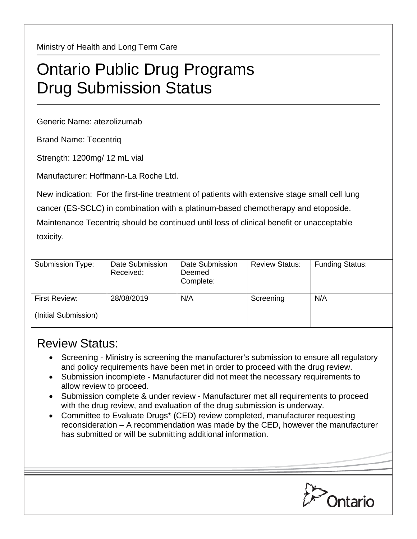Ministry of Health and Long Term Care

## Ontario Public Drug Programs Drug Submission Status

Generic Name: atezolizumab

Brand Name: Tecentriq

Strength: 1200mg/ 12 mL vial

Manufacturer: Hoffmann-La Roche Ltd.

New indication: For the first-line treatment of patients with extensive stage small cell lung cancer (ES-SCLC) in combination with a platinum-based chemotherapy and etoposide. Maintenance Tecentriq should be continued until loss of clinical benefit or unacceptable toxicity.

| Submission Type:                      | Date Submission<br>Received: | Date Submission<br>Deemed<br>Complete: | <b>Review Status:</b> | <b>Funding Status:</b> |
|---------------------------------------|------------------------------|----------------------------------------|-----------------------|------------------------|
| First Review:<br>(Initial Submission) | 28/08/2019                   | N/A                                    | Screening             | N/A                    |

## Review Status:

- Screening Ministry is screening the manufacturer's submission to ensure all regulatory and policy requirements have been met in order to proceed with the drug review.
- Submission incomplete Manufacturer did not meet the necessary requirements to allow review to proceed.
- Submission complete & under review Manufacturer met all requirements to proceed with the drug review, and evaluation of the drug submission is underway.
- Committee to Evaluate Drugs\* (CED) review completed, manufacturer requesting reconsideration – A recommendation was made by the CED, however the manufacturer has submitted or will be submitting additional information.